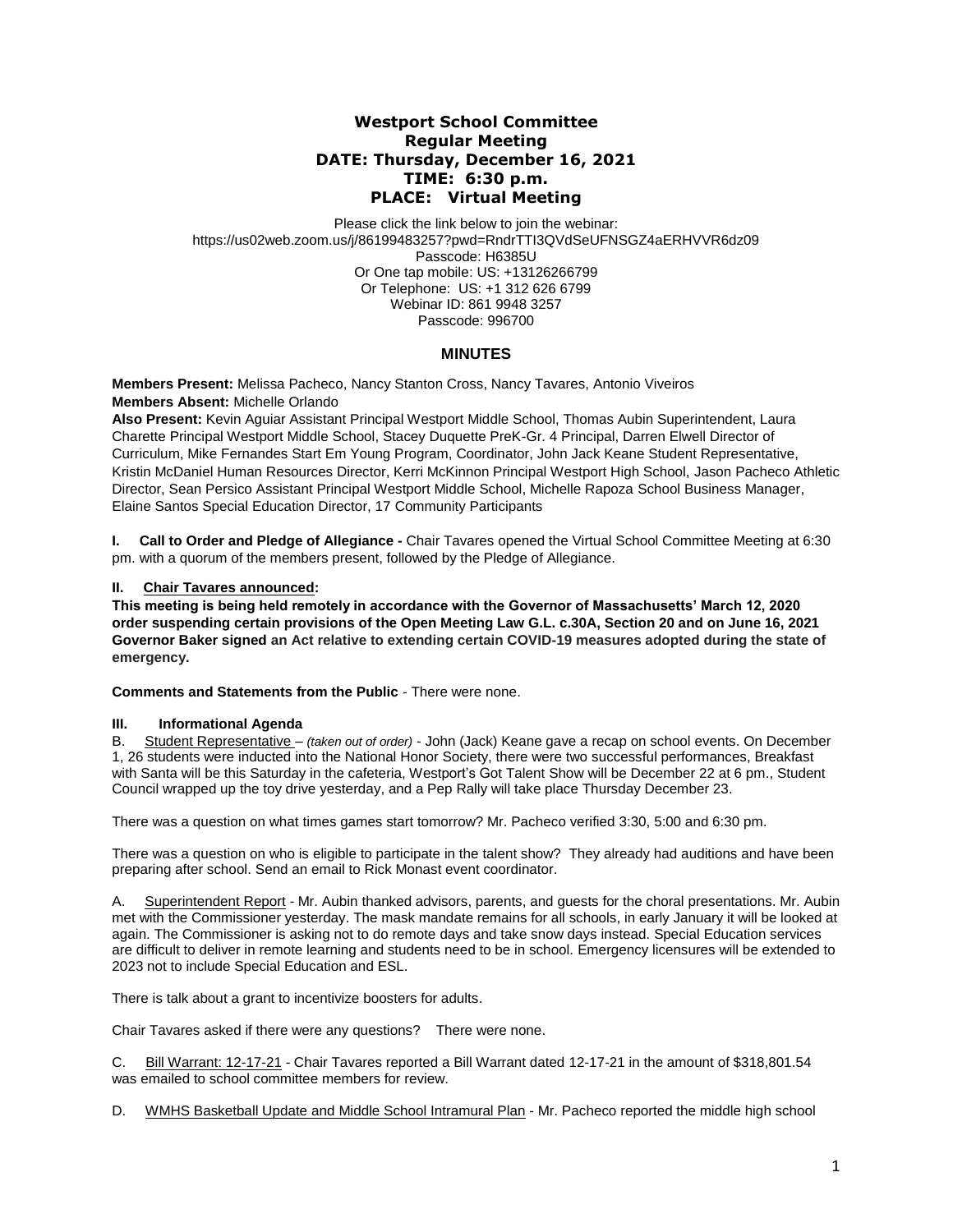# **Westport School Committee Regular Meeting DATE: Thursday, December 16, 2021 TIME: 6:30 p.m. PLACE: Virtual Meeting**

Please click the link below to join the webinar: https://us02web.zoom.us/j/86199483257?pwd=RndrTTI3QVdSeUFNSGZ4aERHVVR6dz09 Passcode: H6385U Or One tap mobile: US: +13126266799 Or Telephone: US: +1 312 626 6799 Webinar ID: 861 9948 3257 Passcode: 996700

## **MINUTES**

**Members Present:** Melissa Pacheco, Nancy Stanton Cross, Nancy Tavares, Antonio Viveiros **Members Absent:** Michelle Orlando

**Also Present:** Kevin Aguiar Assistant Principal Westport Middle School, Thomas Aubin Superintendent, Laura Charette Principal Westport Middle School, Stacey Duquette PreK-Gr. 4 Principal, Darren Elwell Director of Curriculum, Mike Fernandes Start Em Young Program, Coordinator, John Jack Keane Student Representative, Kristin McDaniel Human Resources Director, Kerri McKinnon Principal Westport High School, Jason Pacheco Athletic Director, Sean Persico Assistant Principal Westport Middle School, Michelle Rapoza School Business Manager, Elaine Santos Special Education Director, 17 Community Participants

**I.** Call to Order and Pledge of Allegiance - Chair Tavares opened the Virtual School Committee Meeting at 6:30 pm. with a quorum of the members present, followed by the Pledge of Allegiance.

### **II. Chair Tavares announced:**

**This meeting is being held remotely in accordance with the Governor of Massachusetts' March 12, 2020 order suspending certain provisions of the Open Meeting Law G.L. c.30A, Section 20 and on June 16, 2021 Governor Baker signed an Act relative to extending certain COVID-19 measures adopted during the state of emergency.**

**Comments and Statements from the Public** - There were none.

#### **III. Informational Agenda**

B. Student Representative – *(taken out of order)* - John (Jack) Keane gave a recap on school events. On December 1, 26 students were inducted into the National Honor Society, there were two successful performances, Breakfast with Santa will be this Saturday in the cafeteria, Westport's Got Talent Show will be December 22 at 6 pm., Student Council wrapped up the toy drive yesterday, and a Pep Rally will take place Thursday December 23.

There was a question on what times games start tomorrow? Mr. Pacheco verified 3:30, 5:00 and 6:30 pm.

There was a question on who is eligible to participate in the talent show? They already had auditions and have been preparing after school. Send an email to Rick Monast event coordinator.

A. Superintendent Report - Mr. Aubin thanked advisors, parents, and guests for the choral presentations. Mr. Aubin met with the Commissioner yesterday. The mask mandate remains for all schools, in early January it will be looked at again. The Commissioner is asking not to do remote days and take snow days instead. Special Education services are difficult to deliver in remote learning and students need to be in school. Emergency licensures will be extended to 2023 not to include Special Education and ESL.

There is talk about a grant to incentivize boosters for adults.

Chair Tavares asked if there were any questions? There were none.

C. Bill Warrant: 12-17-21 - Chair Tavares reported a Bill Warrant dated 12-17-21 in the amount of \$318,801.54 was emailed to school committee members for review.

D. WMHS Basketball Update and Middle School Intramural Plan - Mr. Pacheco reported the middle high school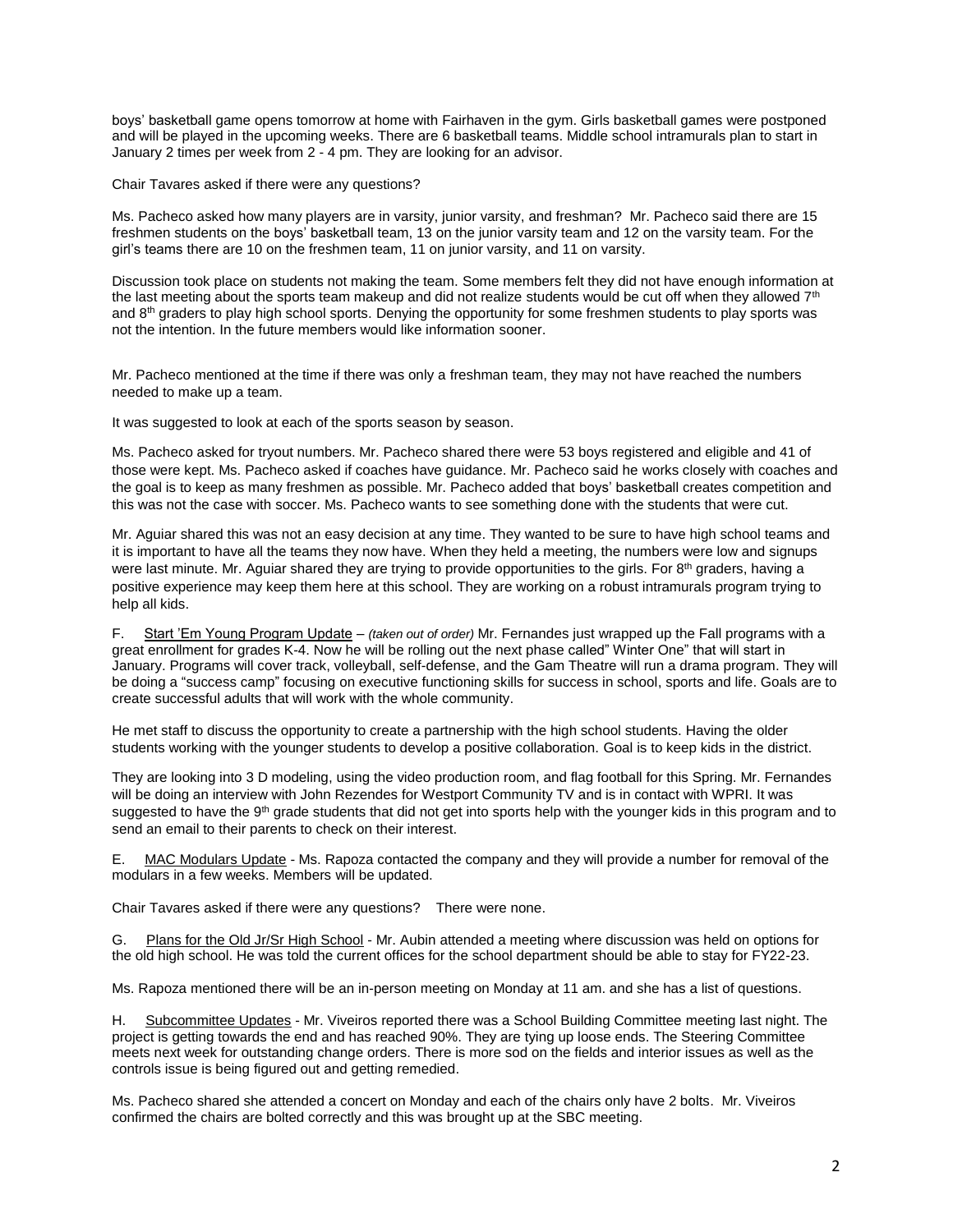boys' basketball game opens tomorrow at home with Fairhaven in the gym. Girls basketball games were postponed and will be played in the upcoming weeks. There are 6 basketball teams. Middle school intramurals plan to start in January 2 times per week from 2 - 4 pm. They are looking for an advisor.

Chair Tavares asked if there were any questions?

Ms. Pacheco asked how many players are in varsity, junior varsity, and freshman? Mr. Pacheco said there are 15 freshmen students on the boys' basketball team, 13 on the junior varsity team and 12 on the varsity team. For the girl's teams there are 10 on the freshmen team, 11 on junior varsity, and 11 on varsity.

Discussion took place on students not making the team. Some members felt they did not have enough information at the last meeting about the sports team makeup and did not realize students would be cut off when they allowed  $7<sup>th</sup>$ and 8<sup>th</sup> graders to play high school sports. Denying the opportunity for some freshmen students to play sports was not the intention. In the future members would like information sooner.

Mr. Pacheco mentioned at the time if there was only a freshman team, they may not have reached the numbers needed to make up a team.

It was suggested to look at each of the sports season by season.

Ms. Pacheco asked for tryout numbers. Mr. Pacheco shared there were 53 boys registered and eligible and 41 of those were kept. Ms. Pacheco asked if coaches have guidance. Mr. Pacheco said he works closely with coaches and the goal is to keep as many freshmen as possible. Mr. Pacheco added that boys' basketball creates competition and this was not the case with soccer. Ms. Pacheco wants to see something done with the students that were cut.

Mr. Aguiar shared this was not an easy decision at any time. They wanted to be sure to have high school teams and it is important to have all the teams they now have. When they held a meeting, the numbers were low and signups were last minute. Mr. Aguiar shared they are trying to provide opportunities to the girls. For 8<sup>th</sup> graders, having a positive experience may keep them here at this school. They are working on a robust intramurals program trying to help all kids.

F. Start 'Em Young Program Update – *(taken out of order)* Mr. Fernandes just wrapped up the Fall programs with a great enrollment for grades K-4. Now he will be rolling out the next phase called" Winter One" that will start in January. Programs will cover track, volleyball, self-defense, and the Gam Theatre will run a drama program. They will be doing a "success camp" focusing on executive functioning skills for success in school, sports and life. Goals are to create successful adults that will work with the whole community.

He met staff to discuss the opportunity to create a partnership with the high school students. Having the older students working with the younger students to develop a positive collaboration. Goal is to keep kids in the district.

They are looking into 3 D modeling, using the video production room, and flag football for this Spring. Mr. Fernandes will be doing an interview with John Rezendes for Westport Community TV and is in contact with WPRI. It was suggested to have the 9<sup>th</sup> grade students that did not get into sports help with the younger kids in this program and to send an email to their parents to check on their interest.

E. MAC Modulars Update - Ms. Rapoza contacted the company and they will provide a number for removal of the modulars in a few weeks. Members will be updated.

Chair Tavares asked if there were any questions? There were none.

G. Plans for the Old Jr/Sr High School - Mr. Aubin attended a meeting where discussion was held on options for the old high school. He was told the current offices for the school department should be able to stay for FY22-23.

Ms. Rapoza mentioned there will be an in-person meeting on Monday at 11 am. and she has a list of questions.

H. Subcommittee Updates - Mr. Viveiros reported there was a School Building Committee meeting last night. The project is getting towards the end and has reached 90%. They are tying up loose ends. The Steering Committee meets next week for outstanding change orders. There is more sod on the fields and interior issues as well as the controls issue is being figured out and getting remedied.

Ms. Pacheco shared she attended a concert on Monday and each of the chairs only have 2 bolts. Mr. Viveiros confirmed the chairs are bolted correctly and this was brought up at the SBC meeting.